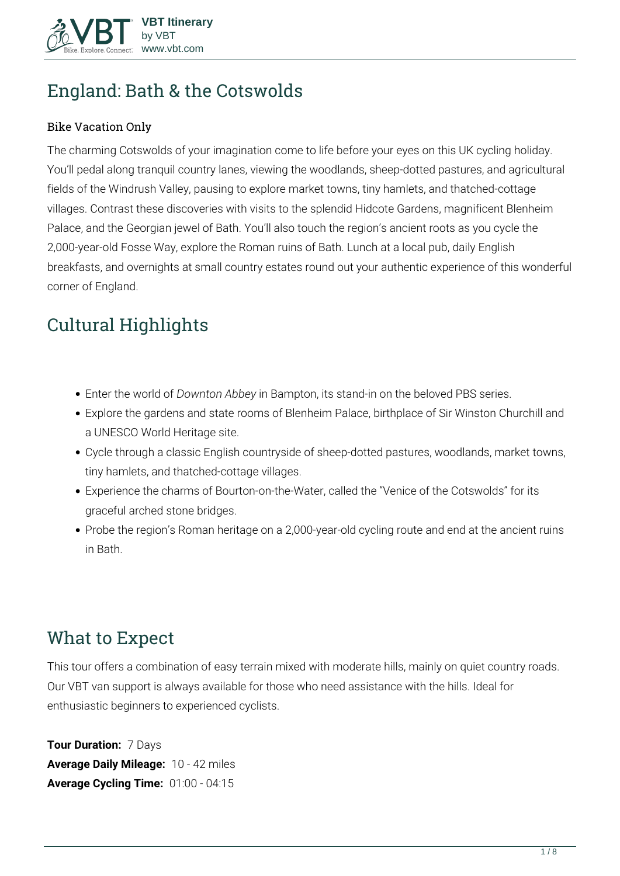

# **England: Bath & the Cotswolds**

#### Bike Vacation Only

The charming Cotswolds of your imagination come to life before your eyes on this UK cycling holiday. You'll pedal along tranquil country lanes, viewing the woodlands, sheep-dotted pastures, and agricultural fields of the Windrush Valley, pausing to explore market towns, tiny hamlets, and thatched-cottage villages. Contrast these discoveries with visits to the splendid Hidcote Gardens, magnificent Blenheim Palace, and the Georgian jewel of Bath. You'll also touch the region's ancient roots as you cycle the 2,000-year-old Fosse Way, explore the Roman ruins of Bath. Lunch at a local pub, daily English breakfasts, and overnights at small country estates round out your authentic experience of this wonderful corner of England.

# **Cultural Highlights**

- Enter the world of *Downton Abbey* in Bampton, its stand-in on the beloved PBS series.
- Explore the gardens and state rooms of Blenheim Palace, birthplace of Sir Winston Churchill and a UNESCO World Heritage site.
- Cycle through a classic English countryside of sheep-dotted pastures, woodlands, market towns, tiny hamlets, and thatched-cottage villages.
- Experience the charms of Bourton-on-the-Water, called the "Venice of the Cotswolds" for its graceful arched stone bridges.
- Probe the region's Roman heritage on a 2,000-year-old cycling route and end at the ancient ruins in Bath.

# **What to Expect**

This tour offers a combination of easy terrain mixed with moderate hills, mainly on quiet country roads. Our VBT van support is always available for those who need assistance with the hills. Ideal for enthusiastic beginners to experienced cyclists.

**Tour Duration:** 7 Days **Average Daily Mileage:** 10 - 42 miles **Average Cycling Time:** 01:00 - 04:15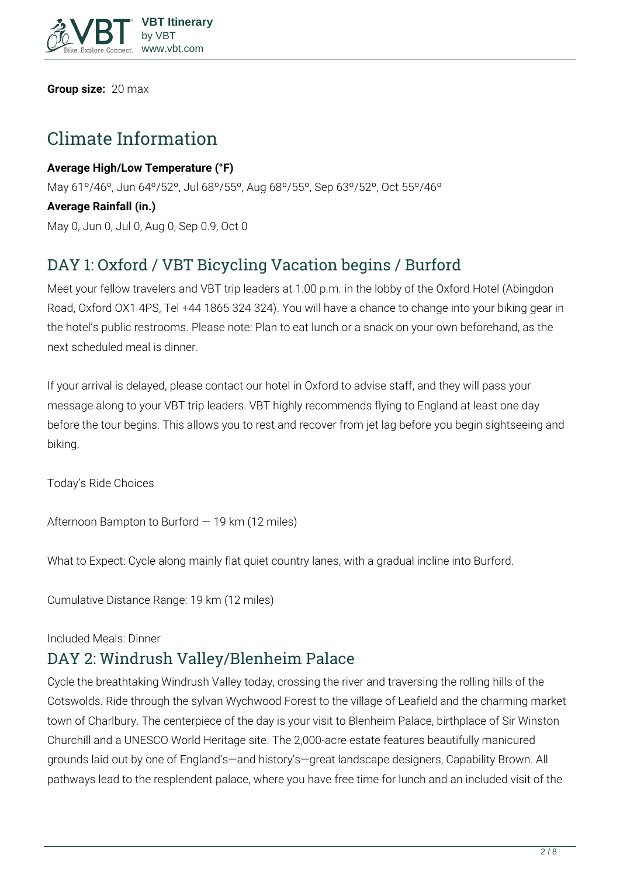

**Group size:** 20 max

# **Climate Information**

**Average High/Low Temperature (°F)** May 61º/46º, Jun 64º/52º, Jul 68º/55º, Aug 68º/55º, Sep 63º/52º, Oct 55º/46º **Average Rainfall (in.)** May 0, Jun 0, Jul 0, Aug 0, Sep 0.9, Oct 0

# **DAY 1: Oxford / VBT Bicycling Vacation begins / Burford**

Meet your fellow travelers and VBT trip leaders at 1:00 p.m. in the lobby of the Oxford Hotel (Abingdon Road, Oxford OX1 4PS, Tel +44 1865 324 324). You will have a chance to change into your biking gear in the hotel's public restrooms. Please note: Plan to eat lunch or a snack on your own beforehand, as the next scheduled meal is dinner.

If your arrival is delayed, please contact our hotel in Oxford to advise staff, and they will pass your message along to your VBT trip leaders. VBT highly recommends flying to England at least one day before the tour begins. This allows you to rest and recover from jet lag before you begin sightseeing and biking.

**Today's Ride Choices**

**Afternoon** Bampton to Burford — 19 km (12 miles)

**What to Expect:** Cycle along mainly flat quiet country lanes, with a gradual incline into Burford.

**Cumulative Distance Range:** 19 km (12 miles)

#### **Included Meals:** Dinner

## **DAY 2: Windrush Valley/Blenheim Palace**

Cycle the breathtaking Windrush Valley today, crossing the river and traversing the rolling hills of the Cotswolds. Ride through the sylvan Wychwood Forest to the village of Leafield and the charming market town of Charlbury. The centerpiece of the day is your visit to Blenheim Palace, birthplace of Sir Winston Churchill and a UNESCO World Heritage site. The 2,000-acre estate features beautifully manicured grounds laid out by one of England's—and history's—great landscape designers, Capability Brown. All pathways lead to the resplendent palace, where you have free time for lunch and an included visit of the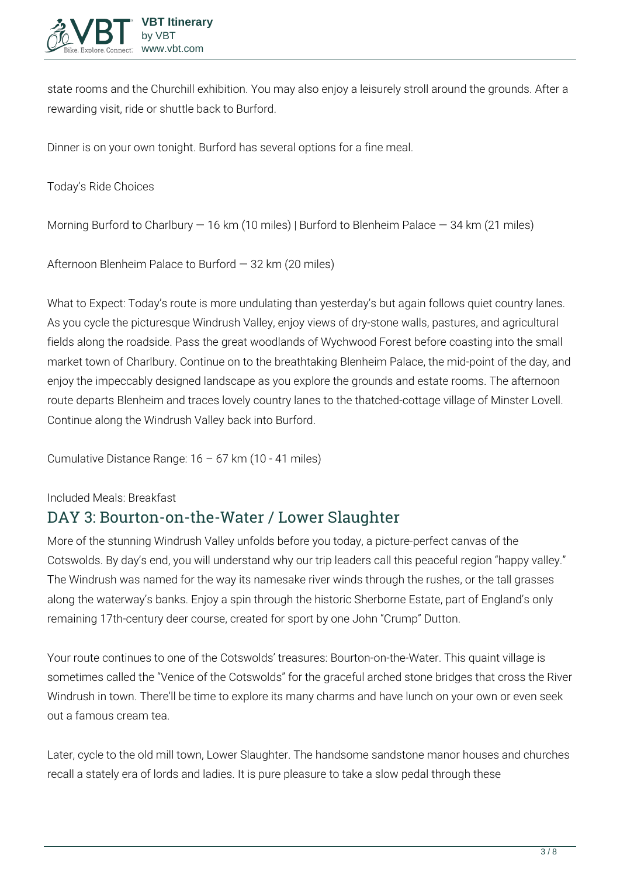

state rooms and the Churchill exhibition. You may also enjoy a leisurely stroll around the grounds. After a rewarding visit, ride or shuttle back to Burford.

Dinner is on your own tonight. Burford has several options for a fine meal.

#### **Today's Ride Choices**

**Morning** Burford to Charlbury — 16 km (10 miles) | Burford to Blenheim Palace — 34 km (21 miles)

**Afternoon** Blenheim Palace to Burford — 32 km (20 miles)

**What to Expect:** Today's route is more undulating than yesterday's but again follows quiet country lanes. As you cycle the picturesque Windrush Valley, enjoy views of dry-stone walls, pastures, and agricultural fields along the roadside. Pass the great woodlands of Wychwood Forest before coasting into the small market town of Charlbury. Continue on to the breathtaking Blenheim Palace, the mid-point of the day, and enjoy the impeccably designed landscape as you explore the grounds and estate rooms. The afternoon route departs Blenheim and traces lovely country lanes to the thatched-cottage village of Minster Lovell. Continue along the Windrush Valley back into Burford.

**Cumulative Distance Range:** 16 – 67 km (10 - 41 miles)

#### **Included Meals:** Breakfast

### **DAY 3: Bourton-on-the-Water / Lower Slaughter**

More of the stunning Windrush Valley unfolds before you today, a picture-perfect canvas of the Cotswolds. By day's end, you will understand why our trip leaders call this peaceful region "happy valley." The Windrush was named for the way its namesake river winds through the rushes, or the tall grasses along the waterway's banks. Enjoy a spin through the historic Sherborne Estate, part of England's only remaining 17th-century deer course, created for sport by one John "Crump" Dutton.

Your route continues to one of the Cotswolds' treasures: Bourton-on-the-Water. This quaint village is sometimes called the "Venice of the Cotswolds" for the graceful arched stone bridges that cross the River Windrush in town. There'll be time to explore its many charms and have lunch on your own or even seek out a famous cream tea.

Later, cycle to the old mill town, Lower Slaughter. The handsome sandstone manor houses and churches recall a stately era of lords and ladies. It is pure pleasure to take a slow pedal through these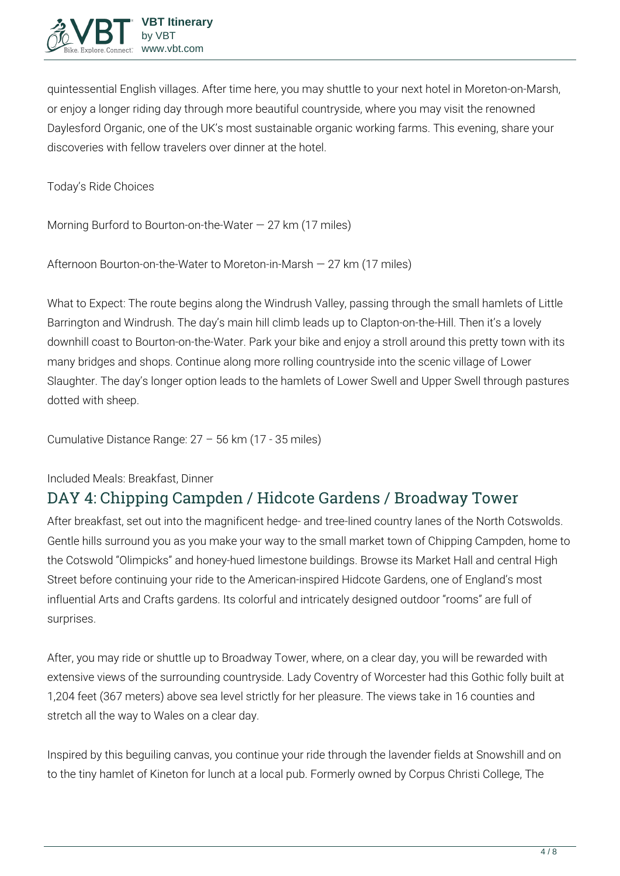

quintessential English villages. After time here, you may shuttle to your next hotel in Moreton-on-Marsh, or enjoy a longer riding day through more beautiful countryside, where you may visit the renowned Daylesford Organic, one of the UK's most sustainable organic working farms. This evening, share your discoveries with fellow travelers over dinner at the hotel.

**Today's Ride Choices**

**Morning** Burford to Bourton-on-the-Water — 27 km (17 miles)

**Afternoon** Bourton-on-the-Water to Moreton-in-Marsh — 27 km (17 miles)

**What to Expect:** The route begins along the Windrush Valley, passing through the small hamlets of Little Barrington and Windrush. The day's main hill climb leads up to Clapton-on-the-Hill. Then it's a lovely downhill coast to Bourton-on-the-Water. Park your bike and enjoy a stroll around this pretty town with its many bridges and shops. Continue along more rolling countryside into the scenic village of Lower Slaughter. The day's longer option leads to the hamlets of Lower Swell and Upper Swell through pastures dotted with sheep.

**Cumulative Distance Range:** 27 – 56 km (17 - 35 miles)

**Included Meals:** Breakfast, Dinner

# **DAY 4: Chipping Campden / Hidcote Gardens / Broadway Tower**

After breakfast, set out into the magnificent hedge- and tree-lined country lanes of the North Cotswolds. Gentle hills surround you as you make your way to the small market town of Chipping Campden, home to the Cotswold "Olimpicks" and honey-hued limestone buildings. Browse its Market Hall and central High Street before continuing your ride to the American-inspired Hidcote Gardens, one of England's most influential Arts and Crafts gardens. Its colorful and intricately designed outdoor "rooms" are full of surprises.

After, you may ride or shuttle up to Broadway Tower, where, on a clear day, you will be rewarded with extensive views of the surrounding countryside. Lady Coventry of Worcester had this Gothic folly built at 1,204 feet (367 meters) above sea level strictly for her pleasure. The views take in 16 counties and stretch all the way to Wales on a clear day.

Inspired by this beguiling canvas, you continue your ride through the lavender fields at Snowshill and on to the tiny hamlet of Kineton for lunch at a local pub. Formerly owned by Corpus Christi College, The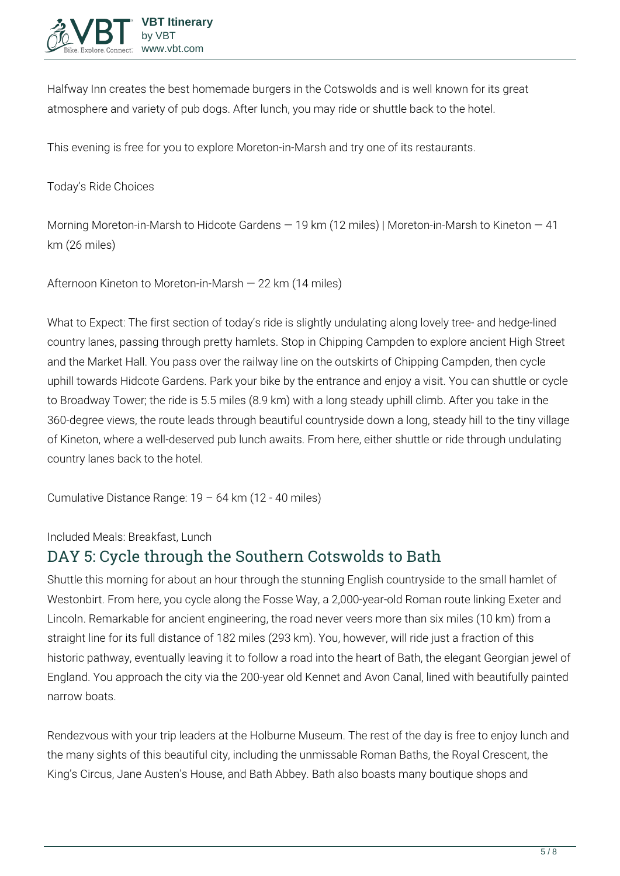

Halfway Inn creates the best homemade burgers in the Cotswolds and is well known for its great atmosphere and variety of pub dogs. After lunch, you may ride or shuttle back to the hotel.

This evening is free for you to explore Moreton-in-Marsh and try one of its restaurants.

**Today's Ride Choices**

**Morning** Moreton-in-Marsh to Hidcote Gardens — 19 km (12 miles) | Moreton-in-Marsh to Kineton — 41 km (26 miles)

**Afternoon** Kineton to Moreton-in-Marsh — 22 km (14 miles)

**What to Expect:** The first section of today's ride is slightly undulating along lovely tree- and hedge-lined country lanes, passing through pretty hamlets. Stop in Chipping Campden to explore ancient High Street and the Market Hall. You pass over the railway line on the outskirts of Chipping Campden, then cycle uphill towards Hidcote Gardens. Park your bike by the entrance and enjoy a visit. You can shuttle or cycle to Broadway Tower; the ride is 5.5 miles (8.9 km) with a long steady uphill climb. After you take in the 360-degree views, the route leads through beautiful countryside down a long, steady hill to the tiny village of Kineton, where a well-deserved pub lunch awaits. From here, either shuttle or ride through undulating country lanes back to the hotel.

**Cumulative Distance Range:** 19 – 64 km (12 - 40 miles)

**Included Meals:** Breakfast, Lunch

## **DAY 5: Cycle through the Southern Cotswolds to Bath**

Shuttle this morning for about an hour through the stunning English countryside to the small hamlet of Westonbirt. From here, you cycle along the Fosse Way, a 2,000-year-old Roman route linking Exeter and Lincoln. Remarkable for ancient engineering, the road never veers more than six miles (10 km) from a straight line for its full distance of 182 miles (293 km). You, however, will ride just a fraction of this historic pathway, eventually leaving it to follow a road into the heart of Bath, the elegant Georgian jewel of England. You approach the city via the 200-year old Kennet and Avon Canal, lined with beautifully painted narrow boats.

Rendezvous with your trip leaders at the Holburne Museum. The rest of the day is free to enjoy lunch and the many sights of this beautiful city, including the unmissable Roman Baths, the Royal Crescent, the King's Circus, Jane Austen's House, and Bath Abbey. Bath also boasts many boutique shops and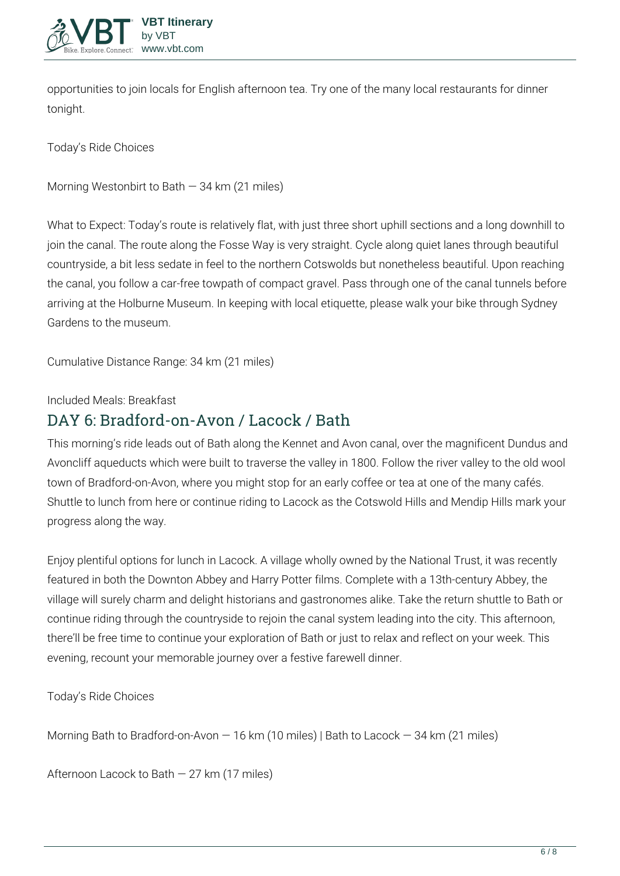

opportunities to join locals for English afternoon tea. Try one of the many local restaurants for dinner tonight.

**Today's Ride Choices**

**Morning** Westonbirt to Bath — 34 km (21 miles)

**What to Expect:** Today's route is relatively flat, with just three short uphill sections and a long downhill to join the canal. The route along the Fosse Way is very straight. Cycle along quiet lanes through beautiful countryside, a bit less sedate in feel to the northern Cotswolds but nonetheless beautiful. Upon reaching the canal, you follow a car-free towpath of compact gravel. Pass through one of the canal tunnels before arriving at the Holburne Museum. In keeping with local etiquette, please walk your bike through Sydney Gardens to the museum.

**Cumulative Distance Range:** 34 km (21 miles)

**Included Meals:** Breakfast

## **DAY 6: Bradford-on-Avon / Lacock / Bath**

This morning's ride leads out of Bath along the Kennet and Avon canal, over the magnificent Dundus and Avoncliff aqueducts which were built to traverse the valley in 1800. Follow the river valley to the old wool town of Bradford-on-Avon, where you might stop for an early coffee or tea at one of the many cafés. Shuttle to lunch from here or continue riding to Lacock as the Cotswold Hills and Mendip Hills mark your progress along the way.

Enjoy plentiful options for lunch in Lacock. A village wholly owned by the National Trust, it was recently featured in both the Downton Abbey and Harry Potter films. Complete with a 13th-century Abbey, the village will surely charm and delight historians and gastronomes alike. Take the return shuttle to Bath or continue riding through the countryside to rejoin the canal system leading into the city. This afternoon, there'll be free time to continue your exploration of Bath or just to relax and reflect on your week. This evening, recount your memorable journey over a festive farewell dinner.

**Today's Ride Choices**

**Morning** Bath to Bradford-on-Avon — 16 km (10 miles) | Bath to Lacock — 34 km (21 miles)

**Afternoon** Lacock to Bath — 27 km (17 miles)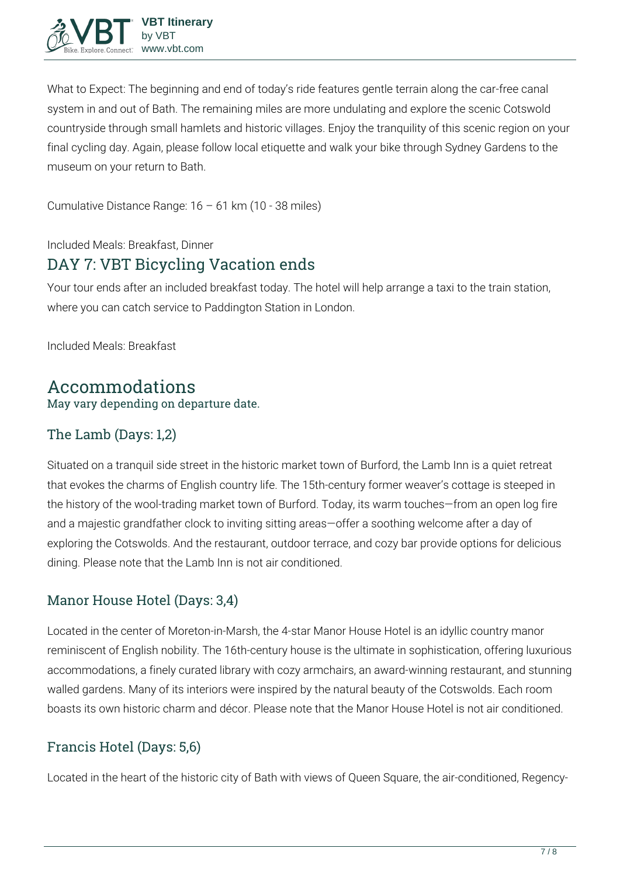

**What to Expect:** The beginning and end of today's ride features gentle terrain along the car-free canal system in and out of Bath. The remaining miles are more undulating and explore the scenic Cotswold countryside through small hamlets and historic villages. Enjoy the tranquility of this scenic region on your final cycling day. Again, please follow local etiquette and walk your bike through Sydney Gardens to the museum on your return to Bath.

**Cumulative Distance Range:** 16 – 61 km (10 - 38 miles)

**Included Meals:** Breakfast, Dinner

## **DAY 7: VBT Bicycling Vacation ends**

Your tour ends after an included breakfast today. The hotel will help arrange a taxi to the train station, where you can catch service to Paddington Station in London.

**Included Meals:** Breakfast

### **Accommodations** May vary depending on departure date.

#### The Lamb (Days: 1,2)

Situated on a tranquil side street in the historic market town of Burford, the Lamb Inn is a quiet retreat that evokes the charms of English country life. The 15th-century former weaver's cottage is steeped in the history of the wool-trading market town of Burford. Today, its warm touches—from an open log fire and a majestic grandfather clock to inviting sitting areas—offer a soothing welcome after a day of exploring the Cotswolds. And the restaurant, outdoor terrace, and cozy bar provide options for delicious dining. Please note that the Lamb Inn is not air conditioned.

### Manor House Hotel (Days: 3,4)

Located in the center of Moreton-in-Marsh, the 4-star Manor House Hotel is an idyllic country manor reminiscent of English nobility. The 16th-century house is the ultimate in sophistication, offering luxurious accommodations, a finely curated library with cozy armchairs, an award-winning restaurant, and stunning walled gardens. Many of its interiors were inspired by the natural beauty of the Cotswolds. Each room boasts its own historic charm and décor. Please note that the Manor House Hotel is not air conditioned.

### Francis Hotel (Days: 5,6)

Located in the heart of the historic city of Bath with views of Queen Square, the air-conditioned, Regency-